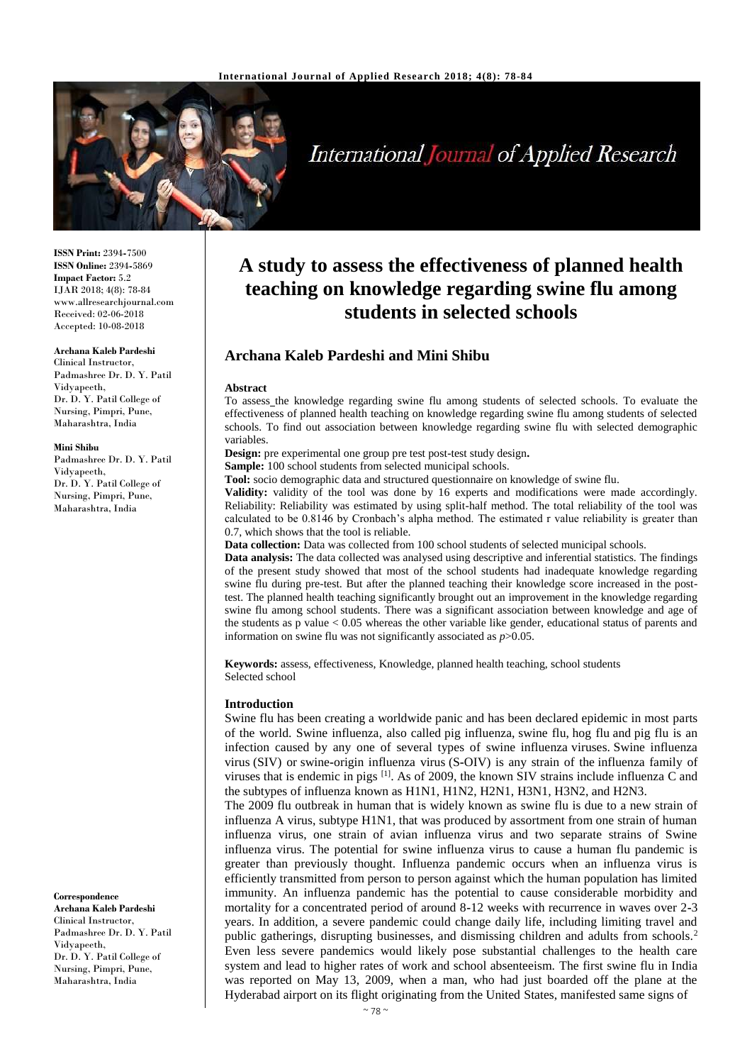

# International Journal of Applied Research

**ISSN Print:** 2394**-**7500 **ISSN Online:** 2394**-**5869 **Impact Factor:** 5.2 IJAR 2018; 4(8): 78-84 www.allresearchjournal.com Received: 02-06-2018 Accepted: 10-08-2018

#### **Archana Kaleb Pardeshi**

Clinical Instructor, Padmashree Dr. D. Y. Patil Vidyapeeth, Dr. D. Y. Patil College of Nursing, Pimpri, Pune, Maharashtra, India

#### **Mini Shibu**

Padmashree Dr. D. Y. Patil Vidyapeeth, Dr. D. Y. Patil College of Nursing, Pimpri, Pune, Maharashtra, India

**Correspondence Archana Kaleb Pardeshi** Clinical Instructor, Padmashree Dr. D. Y. Patil Vidyapeeth, Dr. D. Y. Patil College of Nursing, Pimpri, Pune, Maharashtra, India

# **A study to assess the effectiveness of planned health teaching on knowledge regarding swine flu among students in selected schools**

## **Archana Kaleb Pardeshi and Mini Shibu**

#### **Abstract**

To assess the knowledge regarding swine flu among students of selected schools. To evaluate the effectiveness of planned health teaching on knowledge regarding swine flu among students of selected schools. To find out association between knowledge regarding swine flu with selected demographic variables.

**Design:** pre experimental one group pre test post-test study design**.** 

**Sample:** 100 school students from selected municipal schools.

**Tool:** socio demographic data and structured questionnaire on knowledge of swine flu.

**Validity:** validity of the tool was done by 16 experts and modifications were made accordingly. Reliability: Reliability was estimated by using split-half method. The total reliability of the tool was calculated to be 0.8146 by Cronbach's alpha method. The estimated r value reliability is greater than 0.7, which shows that the tool is reliable.

**Data collection:** Data was collected from 100 school students of selected municipal schools.

**Data analysis:** The data collected was analysed using descriptive and inferential statistics. The findings of the present study showed that most of the school students had inadequate knowledge regarding swine flu during pre-test. But after the planned teaching their knowledge score increased in the posttest. The planned health teaching significantly brought out an improvement in the knowledge regarding swine flu among school students. There was a significant association between knowledge and age of the students as p value < 0.05 whereas the other variable like gender, educational status of parents and information on swine flu was not significantly associated as *p*>0.05.

**Keywords:** assess, effectiveness, Knowledge, planned health teaching, school students Selected school

#### **Introduction**

Swine flu has been creating a worldwide panic and has been declared epidemic in most parts of the world. Swine influenza, also called pig influenza, swine flu, hog flu and pig flu is an infection caused by any one of several types of swine influenza viruses. Swine influenza virus (SIV) or swine**-**origin influenza virus (S**-**OIV) is any strain of the influenza family of viruses that is endemic in pigs  $^{[1]}$ . As of 2009, the known SIV strains include influenza C and the subtypes of influenza known as H1N1, H1N2, H2N1, H3N1, H3N2, and H2N3.

The 2009 flu outbreak in human that is widely known as swine flu is due to a new strain of influenza A virus, subtype H1N1, that was produced by assortment from one strain of human influenza virus, one strain of avian influenza virus and two separate strains of Swine influenza virus. The potential for swine influenza virus to cause a human flu pandemic is greater than previously thought. Influenza pandemic occurs when an influenza virus is efficiently transmitted from person to person against which the human population has limited immunity. An influenza pandemic has the potential to cause considerable morbidity and mortality for a concentrated period of around 8**-**12 weeks with recurrence in waves over 2**-**3 years. In addition, a severe pandemic could change daily life, including limiting travel and public gatherings, disrupting businesses, and dismissing children and adults from schools.<sup>2</sup> Even less severe pandemics would likely pose substantial challenges to the health care system and lead to higher rates of work and school absenteeism. The first swine flu in India was reported on May 13, 2009, when a man, who had just boarded off the plane at the Hyderabad airport on its flight originating from the United States, manifested same signs of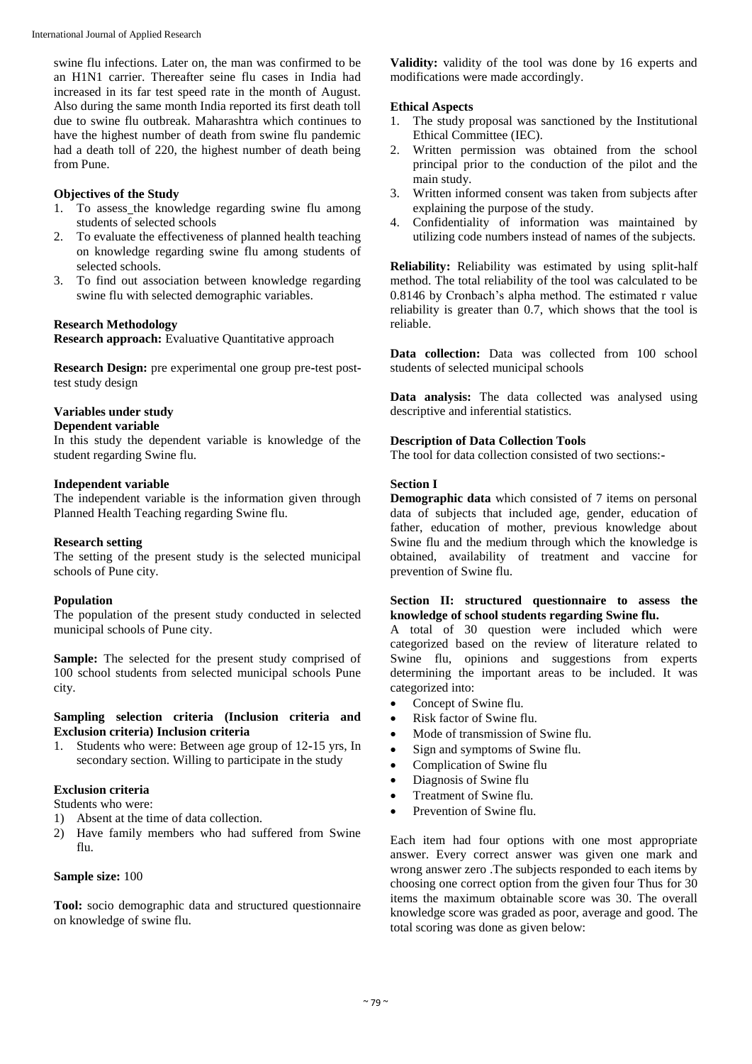swine flu infections. Later on, the man was confirmed to be an H1N1 carrier. Thereafter seine flu cases in India had increased in its far test speed rate in the month of August. Also during the same month India reported its first death toll due to swine flu outbreak. Maharashtra which continues to have the highest number of death from swine flu pandemic had a death toll of 220, the highest number of death being from Pune.

#### **Objectives of the Study**

- 1. To assess the knowledge regarding swine flu among students of selected schools
- 2. To evaluate the effectiveness of planned health teaching on knowledge regarding swine flu among students of selected schools.
- 3. To find out association between knowledge regarding swine flu with selected demographic variables.

#### **Research Methodology**

**Research approach:** Evaluative Quantitative approach

**Research Design:** pre experimental one group pre**-**test posttest study design

# **Variables under study**

#### **Dependent variable**

In this study the dependent variable is knowledge of the student regarding Swine flu.

#### **Independent variable**

The independent variable is the information given through Planned Health Teaching regarding Swine flu.

#### **Research setting**

The setting of the present study is the selected municipal schools of Pune city.

#### **Population**

The population of the present study conducted in selected municipal schools of Pune city.

**Sample:** The selected for the present study comprised of 100 school students from selected municipal schools Pune city.

#### **Sampling selection criteria (Inclusion criteria and Exclusion criteria) Inclusion criteria**

1. Students who were: Between age group of 12**-**15 yrs, In secondary section. Willing to participate in the study

#### **Exclusion criteria**

Students who were:

- 1) Absent at the time of data collection.
- 2) Have family members who had suffered from Swine flu.

### **Sample size:** 100

**Tool:** socio demographic data and structured questionnaire on knowledge of swine flu.

**Validity:** validity of the tool was done by 16 experts and modifications were made accordingly.

#### **Ethical Aspects**

- 1. The study proposal was sanctioned by the Institutional Ethical Committee (IEC).
- 2. Written permission was obtained from the school principal prior to the conduction of the pilot and the main study.
- 3. Written informed consent was taken from subjects after explaining the purpose of the study.
- 4. Confidentiality of information was maintained by utilizing code numbers instead of names of the subjects.

**Reliability:** Reliability was estimated by using split**-**half method. The total reliability of the tool was calculated to be 0.8146 by Cronbach's alpha method. The estimated r value reliability is greater than 0.7, which shows that the tool is reliable.

**Data collection:** Data was collected from 100 school students of selected municipal schools

**Data analysis:** The data collected was analysed using descriptive and inferential statistics.

#### **Description of Data Collection Tools**

The tool for data collection consisted of two sections:**-**

#### **Section I**

**Demographic data** which consisted of 7 items on personal data of subjects that included age, gender, education of father, education of mother, previous knowledge about Swine flu and the medium through which the knowledge is obtained, availability of treatment and vaccine for prevention of Swine flu.

#### **Section II: structured questionnaire to assess the knowledge of school students regarding Swine flu.**

A total of 30 question were included which were categorized based on the review of literature related to Swine flu, opinions and suggestions from experts determining the important areas to be included. It was categorized into:

- Concept of Swine flu.
- Risk factor of Swine flu.
- Mode of transmission of Swine flu.
- Sign and symptoms of Swine flu.
- Complication of Swine flu
- Diagnosis of Swine flu
- Treatment of Swine flu.
- Prevention of Swine flu.

Each item had four options with one most appropriate answer. Every correct answer was given one mark and wrong answer zero .The subjects responded to each items by choosing one correct option from the given four Thus for 30 items the maximum obtainable score was 30. The overall knowledge score was graded as poor, average and good. The total scoring was done as given below: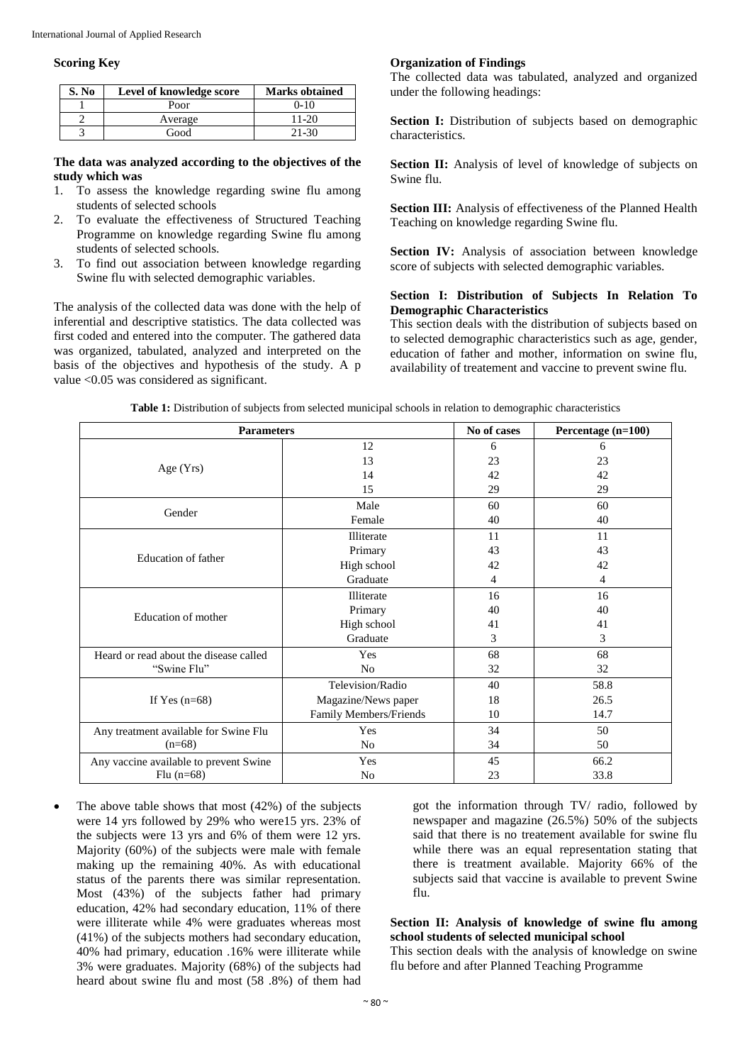#### **Scoring Key**

| S. No | Level of knowledge score | <b>Marks obtained</b> |
|-------|--------------------------|-----------------------|
|       | Poor                     | $0 - 10$              |
|       | Average                  | 11-20                 |
|       | Good                     | 21-30                 |

#### **The data was analyzed according to the objectives of the study which was**

- 1. To assess the knowledge regarding swine flu among students of selected schools
- 2. To evaluate the effectiveness of Structured Teaching Programme on knowledge regarding Swine flu among students of selected schools.
- 3. To find out association between knowledge regarding Swine flu with selected demographic variables.

The analysis of the collected data was done with the help of inferential and descriptive statistics. The data collected was first coded and entered into the computer. The gathered data was organized, tabulated, analyzed and interpreted on the basis of the objectives and hypothesis of the study. A p value <0.05 was considered as significant.

#### **Organization of Findings**

The collected data was tabulated, analyzed and organized under the following headings:

**Section I:** Distribution of subjects based on demographic characteristics.

Section II: Analysis of level of knowledge of subjects on Swine flu.

Section III: Analysis of effectiveness of the Planned Health Teaching on knowledge regarding Swine flu.

**Section IV:** Analysis of association between knowledge score of subjects with selected demographic variables.

#### **Section I: Distribution of Subjects In Relation To Demographic Characteristics**

This section deals with the distribution of subjects based on to selected demographic characteristics such as age, gender, education of father and mother, information on swine flu, availability of treatement and vaccine to prevent swine flu.

| <b>Parameters</b>                      | No of cases            | Percentage (n=100) |                |
|----------------------------------------|------------------------|--------------------|----------------|
|                                        | 12                     | 6                  | 6              |
|                                        | 13                     | 23                 | 23             |
| Age $(Yrs)$                            | 14                     | 42                 | 42             |
|                                        | 15                     | 29                 | 29             |
| Gender                                 | Male                   | 60                 | 60             |
|                                        | Female                 | 40                 | 40             |
|                                        | Illiterate             | 11                 | 11             |
| Education of father                    | Primary                | 43                 | 43             |
|                                        | High school            | 42                 | 42             |
|                                        | Graduate               | 4                  | $\overline{4}$ |
|                                        | Illiterate             | 16                 | 16             |
| Education of mother                    | Primary                | 40                 | 40             |
|                                        | High school            | 41                 | 41             |
|                                        | Graduate               | 3                  | 3              |
| Heard or read about the disease called | Yes                    | 68                 | 68             |
| "Swine Flu"                            | N <sub>0</sub>         | 32                 | 32             |
|                                        | Television/Radio       | 40                 | 58.8           |
| If Yes $(n=68)$                        | Magazine/News paper    | 18                 | 26.5           |
|                                        | Family Members/Friends | 10                 | 14.7           |
| Any treatment available for Swine Flu  | Yes                    | 34                 | 50             |
| $(n=68)$                               | N <sub>0</sub>         | 34                 | 50             |
| Any vaccine available to prevent Swine | Yes                    | 45                 | 66.2           |
| Flu $(n=68)$                           | No                     | 23                 | 33.8           |

**Table 1:** Distribution of subjects from selected municipal schools in relation to demographic characteristics

 The above table shows that most (42%) of the subjects were 14 yrs followed by 29% who were15 yrs. 23% of the subjects were 13 yrs and 6% of them were 12 yrs. Majority (60%) of the subjects were male with female making up the remaining 40%. As with educational status of the parents there was similar representation. Most (43%) of the subjects father had primary education, 42% had secondary education, 11% of there were illiterate while 4% were graduates whereas most (41%) of the subjects mothers had secondary education, 40% had primary, education .16% were illiterate while 3% were graduates. Majority (68%) of the subjects had heard about swine flu and most (58 .8%) of them had got the information through TV/ radio, followed by newspaper and magazine (26.5%) 50% of the subjects said that there is no treatement available for swine flu while there was an equal representation stating that there is treatment available. Majority 66% of the subjects said that vaccine is available to prevent Swine flu.

#### **Section II: Analysis of knowledge of swine flu among school students of selected municipal school**

This section deals with the analysis of knowledge on swine flu before and after Planned Teaching Programme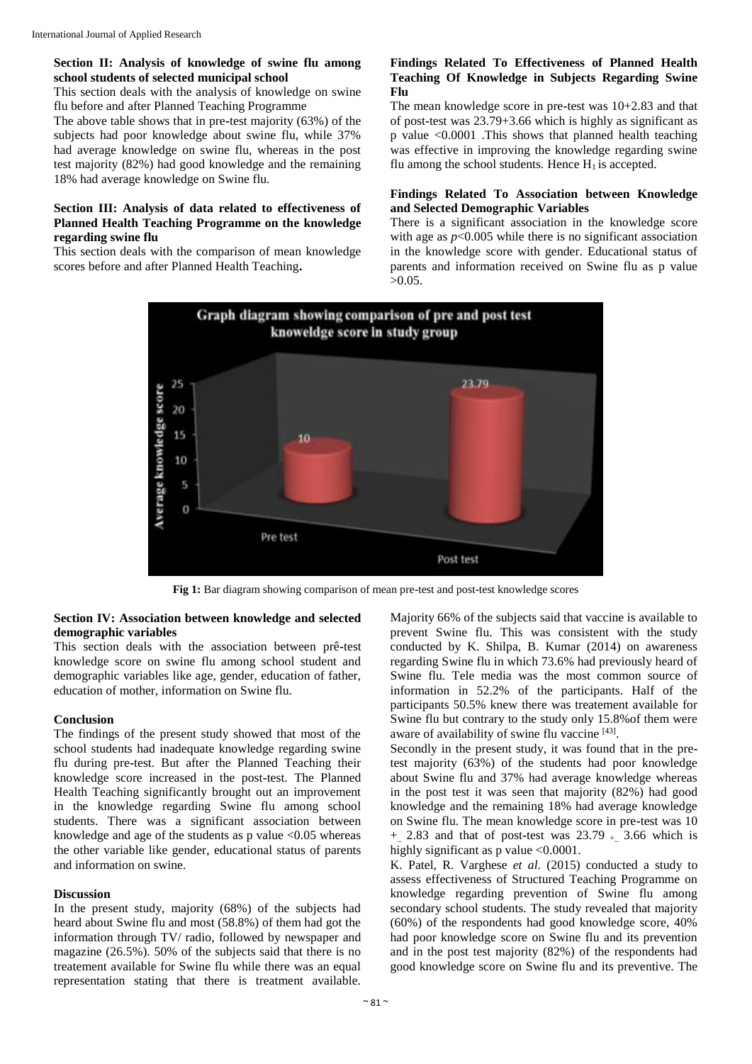#### **Section II: Analysis of knowledge of swine flu among school students of selected municipal school**

This section deals with the analysis of knowledge on swine flu before and after Planned Teaching Programme

The above table shows that in pre**-**test majority (63%) of the subjects had poor knowledge about swine flu, while 37% had average knowledge on swine flu, whereas in the post test majority (82%) had good knowledge and the remaining 18% had average knowledge on Swine flu.

#### **Section III: Analysis of data related to effectiveness of Planned Health Teaching Programme on the knowledge regarding swine flu**

This section deals with the comparison of mean knowledge scores before and after Planned Health Teaching**.**

#### **Findings Related To Effectiveness of Planned Health Teaching Of Knowledge in Subjects Regarding Swine Flu**

The mean knowledge score in pre**-**test was 10+2.83 and that of post**-**test was 23.79+3.66 which is highly as significant as p value <0.0001 .This shows that planned health teaching was effective in improving the knowledge regarding swine flu among the school students. Hence  $H_1$  is accepted.

#### **Findings Related To Association between Knowledge and Selected Demographic Variables**

There is a significant association in the knowledge score with age as  $p<0.005$  while there is no significant association in the knowledge score with gender. Educational status of parents and information received on Swine flu as p value >0.05.



**Fig 1:** Bar diagram showing comparison of mean pre**-**test and post**-**test knowledge scores

#### **Section IV: Association between knowledge and selected demographic variables**

This section deals with the association between prê**-**test knowledge score on swine flu among school student and demographic variables like age, gender, education of father, education of mother, information on Swine flu.

#### **Conclusion**

The findings of the present study showed that most of the school students had inadequate knowledge regarding swine flu during pre**-**test. But after the Planned Teaching their knowledge score increased in the post**-**test. The Planned Health Teaching significantly brought out an improvement in the knowledge regarding Swine flu among school students. There was a significant association between knowledge and age of the students as p value  $\leq 0.05$  whereas the other variable like gender, educational status of parents and information on swine.

#### **Discussion**

In the present study, majority (68%) of the subjects had heard about Swine flu and most (58.8%) of them had got the information through TV/ radio, followed by newspaper and magazine (26.5%). 50% of the subjects said that there is no treatement available for Swine flu while there was an equal representation stating that there is treatment available.

Majority 66% of the subjects said that vaccine is available to prevent Swine flu. This was consistent with the study conducted by K. Shilpa, B. Kumar (2014) on awareness regarding Swine flu in which 73.6% had previously heard of Swine flu. Tele media was the most common source of information in 52.2% of the participants. Half of the participants 50.5% knew there was treatement available for Swine flu but contrary to the study only 15.8%of them were aware of availability of swine flu vaccine [43].

Secondly in the present study, it was found that in the pretest majority (63%) of the students had poor knowledge about Swine flu and 37% had average knowledge whereas in the post test it was seen that majority (82%) had good knowledge and the remaining 18% had average knowledge on Swine flu. The mean knowledge score in pre**-**test was 10 +\_ 2.83 and that of post**-**test was 23.79 +\_ 3.66 which is highly significant as p value <0.0001.

K. Patel, R. Varghese *et al*. (2015) conducted a study to assess effectiveness of Structured Teaching Programme on knowledge regarding prevention of Swine flu among secondary school students. The study revealed that majority (60%) of the respondents had good knowledge score, 40% had poor knowledge score on Swine flu and its prevention and in the post test majority (82%) of the respondents had good knowledge score on Swine flu and its preventive. The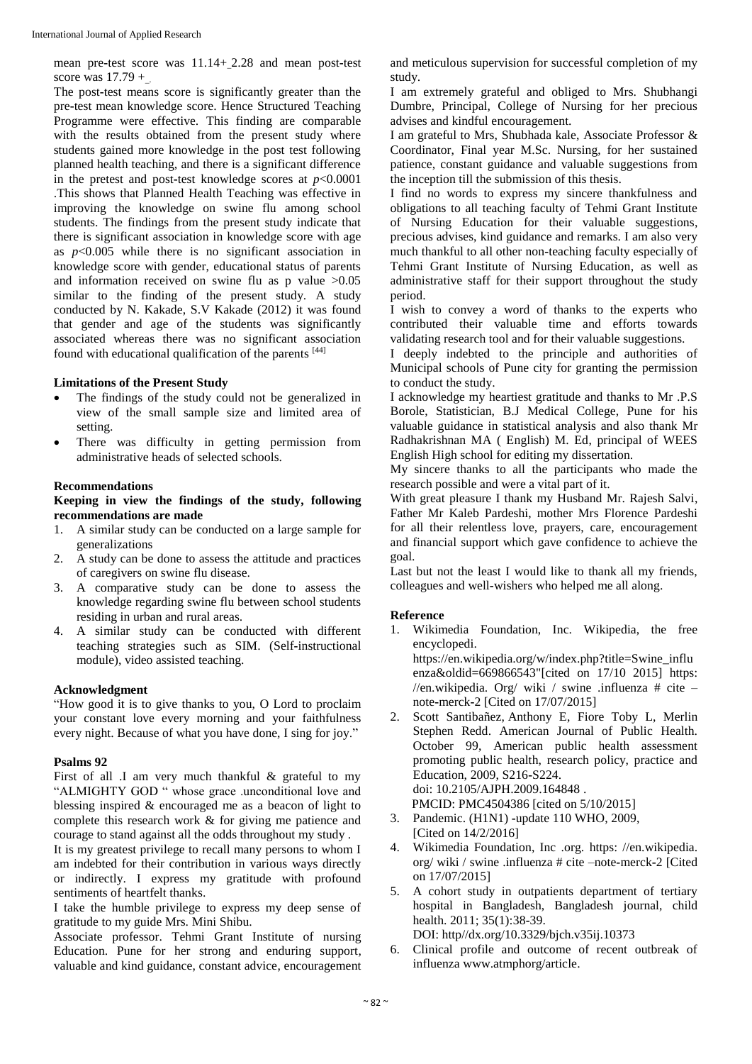mean pre**-**test score was 11.14+\_2.28 and mean post**-**test score was  $17.79 +$ .

The post**-**test means score is significantly greater than the pre**-**test mean knowledge score. Hence Structured Teaching Programme were effective. This finding are comparable with the results obtained from the present study where students gained more knowledge in the post test following planned health teaching, and there is a significant difference in the pretest and post**-**test knowledge scores at *p*<0.0001 .This shows that Planned Health Teaching was effective in improving the knowledge on swine flu among school students. The findings from the present study indicate that there is significant association in knowledge score with age as  $p<0.005$  while there is no significant association in knowledge score with gender, educational status of parents and information received on swine flu as  $p$  value  $>0.05$ similar to the finding of the present study. A study conducted by N. Kakade, S.V Kakade (2012) it was found that gender and age of the students was significantly associated whereas there was no significant association found with educational qualification of the parents [44]

#### **Limitations of the Present Study**

- The findings of the study could not be generalized in view of the small sample size and limited area of setting.
- There was difficulty in getting permission from administrative heads of selected schools.

#### **Recommendations**

**Keeping in view the findings of the study, following recommendations are made**

- 1. A similar study can be conducted on a large sample for generalizations
- 2. A study can be done to assess the attitude and practices of caregivers on swine flu disease.
- 3. A comparative study can be done to assess the knowledge regarding swine flu between school students residing in urban and rural areas.
- 4. A similar study can be conducted with different teaching strategies such as SIM. (Self**-**instructional module), video assisted teaching.

#### **Acknowledgment**

"How good it is to give thanks to you, O Lord to proclaim your constant love every morning and your faithfulness every night. Because of what you have done, I sing for joy."

#### **Psalms 92**

First of all .I am very much thankful & grateful to my "ALMIGHTY GOD " whose grace .unconditional love and blessing inspired & encouraged me as a beacon of light to complete this research work & for giving me patience and courage to stand against all the odds throughout my study .

It is my greatest privilege to recall many persons to whom I am indebted for their contribution in various ways directly or indirectly. I express my gratitude with profound sentiments of heartfelt thanks.

I take the humble privilege to express my deep sense of gratitude to my guide Mrs. Mini Shibu.

Associate professor. Tehmi Grant Institute of nursing Education. Pune for her strong and enduring support, valuable and kind guidance, constant advice, encouragement and meticulous supervision for successful completion of my study.

I am extremely grateful and obliged to Mrs. Shubhangi Dumbre, Principal, College of Nursing for her precious advises and kindful encouragement.

I am grateful to Mrs, Shubhada kale, Associate Professor & Coordinator, Final year M.Sc. Nursing, for her sustained patience, constant guidance and valuable suggestions from the inception till the submission of this thesis.

I find no words to express my sincere thankfulness and obligations to all teaching faculty of Tehmi Grant Institute of Nursing Education for their valuable suggestions, precious advises, kind guidance and remarks. I am also very much thankful to all other non**-**teaching faculty especially of Tehmi Grant Institute of Nursing Education, as well as administrative staff for their support throughout the study period.

I wish to convey a word of thanks to the experts who contributed their valuable time and efforts towards validating research tool and for their valuable suggestions.

I deeply indebted to the principle and authorities of Municipal schools of Pune city for granting the permission to conduct the study.

I acknowledge my heartiest gratitude and thanks to Mr .P.S Borole, Statistician, B.J Medical College, Pune for his valuable guidance in statistical analysis and also thank Mr Radhakrishnan MA ( English) M. Ed, principal of WEES English High school for editing my dissertation.

My sincere thanks to all the participants who made the research possible and were a vital part of it.

With great pleasure I thank my Husband Mr. Rajesh Salvi, Father Mr Kaleb Pardeshi, mother Mrs Florence Pardeshi for all their relentless love, prayers, care, encouragement and financial support which gave confidence to achieve the goal.

Last but not the least I would like to thank all my friends, colleagues and well**-**wishers who helped me all along.

#### **Reference**

1. Wikimedia Foundation, Inc. Wikipedia, the free encyclopedi. https://en.wikipedia.org/w/index.php?title=Swine\_influ enza&oldid=669866543"[cited on 17/10 2015] https:

//en.wikipedia. Org/ wiki / swine .influenza # cite – note**-**merck**-**2 [Cited on 17/07/2015] 2. Scott Santibañez, Anthony E, Fiore Toby L, Merlin Stephen Redd. American Journal of Public Health.

October 99, American public health assessment promoting public health, research policy, practice and Education, 2009, S216**-**S224.

doi: 10.2105/AJPH.2009.164848 .

PMCID: PMC4504386 [cited on 5/10/2015] 3. Pandemic. (H1N1) **-**update 110 WHO, 2009,

- [Cited on  $14/2/2016$ ]
- 4. Wikimedia Foundation, Inc .org. https: //en.wikipedia. org/ wiki / swine .influenza # cite –note**-**merck**-**2 [Cited on 17/07/2015]
- 5. A cohort study in outpatients department of tertiary hospital in Bangladesh, Bangladesh journal, child health. 2011; 35(1):38**-**39. DOI: http//dx.org/10.3329/bjch.v35ij.10373

6. Clinical profile and outcome of recent outbreak of influenza www.atmphorg/article.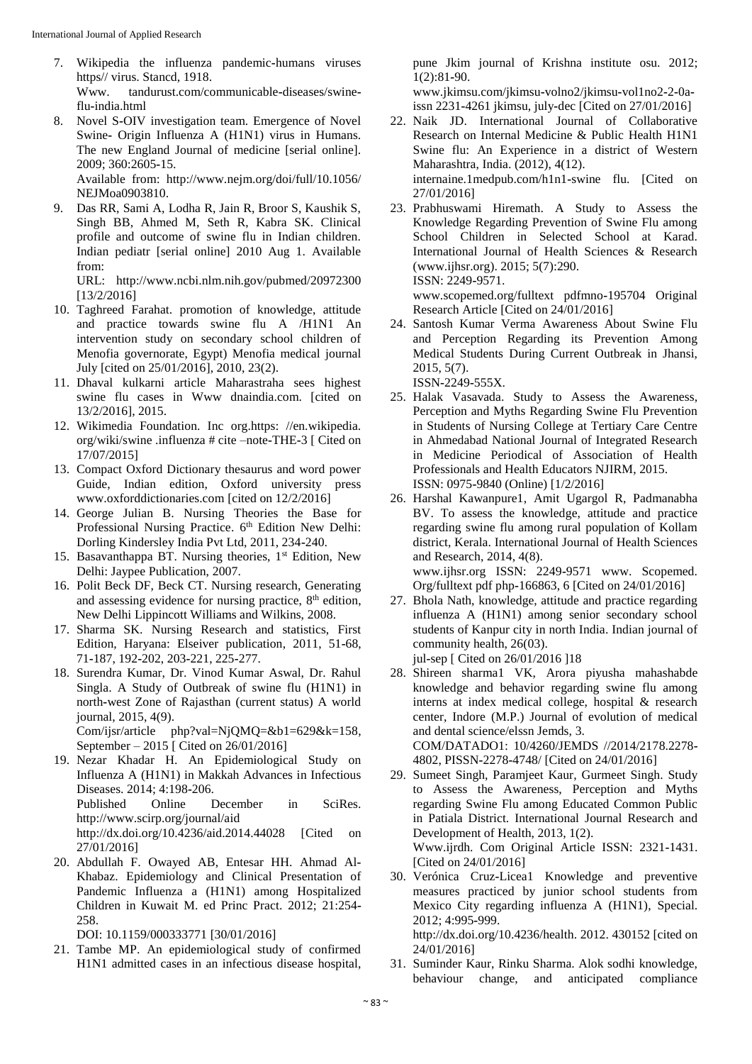- 7. Wikipedia the influenza pandemic**-**humans viruses https// virus. Stancd, 1918. Www. tandurust.com/communicable**-**diseases/swineflu**-**india.html
- 8. Novel S**-**OIV investigation team. Emergence of Novel Swine**-** Origin Influenza A (H1N1) virus in Humans. The new England Journal of medicine [serial online]. 2009; 360:2605**-**15.

Available from: http://www.nejm.org/doi/full/10.1056/ NEJMoa0903810.

9. Das RR, Sami A, Lodha R, Jain R, Broor S, Kaushik S, Singh BB, Ahmed M, Seth R, Kabra SK. Clinical profile and outcome of swine flu in Indian children. Indian pediatr [serial online] 2010 Aug 1. Available from:

URL: http://www.ncbi.nlm.nih.gov/pubmed/20972300 [13/2/2016]

- 10. Taghreed Farahat. promotion of knowledge, attitude and practice towards swine flu A /H1N1 An intervention study on secondary school children of Menofia governorate, Egypt) Menofia medical journal July [cited on 25/01/2016], 2010, 23(2).
- 11. Dhaval kulkarni article Maharastraha sees highest swine flu cases in Www dnaindia.com. [cited on 13/2/2016], 2015.
- 12. Wikimedia Foundation. Inc org.https: //en.wikipedia. org/wiki/swine .influenza # cite –note**-**THE**-**3 [ Cited on 17/07/2015]
- 13. Compact Oxford Dictionary thesaurus and word power Guide, Indian edition, Oxford university press www.oxforddictionaries.com [cited on 12/2/2016]
- 14. George Julian B. Nursing Theories the Base for Professional Nursing Practice. 6<sup>th</sup> Edition New Delhi: Dorling Kindersley India Pvt Ltd, 2011, 234**-**240.
- 15. Basavanthappa BT. Nursing theories, 1<sup>st</sup> Edition, New Delhi: Jaypee Publication, 2007.
- 16. Polit Beck DF, Beck CT. Nursing research, Generating and assessing evidence for nursing practice, 8<sup>th</sup> edition, New Delhi Lippincott Williams and Wilkins, 2008.
- 17. Sharma SK. Nursing Research and statistics, First Edition, Haryana: Elseiver publication, 2011, 51**-**68, 71**-**187, 192**-**202, 203**-**221, 225**-**277.
- 18. Surendra Kumar, Dr. Vinod Kumar Aswal, Dr. Rahul Singla. A Study of Outbreak of swine flu (H1N1) in north**-**west Zone of Rajasthan (current status) A world journal, 2015, 4(9). Com/ijsr/article php?val=NjQMQ=&b1=629&k=158, September – 2015 [ Cited on 26/01/2016]
- 19. Nezar Khadar H. An Epidemiological Study on Influenza A (H1N1) in Makkah Advances in Infectious Diseases. 2014; 4:198**-**206. Published Online December in SciRes. http://www.scirp.org/journal/aid http://dx.doi.org/10.4236/aid.2014.44028 [Cited on 27/01/2016]
- 20. Abdullah F. Owayed AB, Entesar HH. Ahmad Al**-**Khabaz. Epidemiology and Clinical Presentation of Pandemic Influenza a (H1N1) among Hospitalized Children in Kuwait M. ed Princ Pract. 2012; 21:254**-** 258.

DOI: 10.1159/000333771 [30/01/2016]

21. Tambe MP. An epidemiological study of confirmed H1N1 admitted cases in an infectious disease hospital, pune Jkim journal of Krishna institute osu. 2012; 1(2):81**-**90.

www.jkimsu.com/jkimsu**-**volno2/jkimsu**-**vol1no2**-**2**-**0aissn 2231**-**4261 jkimsu, july**-**dec [Cited on 27/01/2016]

- 22. Naik JD. International Journal of Collaborative Research on Internal Medicine & Public Health H1N1 Swine flu: An Experience in a district of Western Maharashtra, India. (2012), 4(12). internaine.1medpub.com/h1n1**-**swine flu. [Cited on 27/01/2016]
- 23. Prabhuswami Hiremath. A Study to Assess the Knowledge Regarding Prevention of Swine Flu among School Children in Selected School at Karad. International Journal of Health Sciences & Research (www.ijhsr.org). 2015; 5(7):290. ISSN: 2249**-**9571.

www.scopemed.org/fulltext pdfmno**-**195704 Original Research Article [Cited on 24/01/2016]

24. Santosh Kumar Verma Awareness About Swine Flu and Perception Regarding its Prevention Among Medical Students During Current Outbreak in Jhansi, 2015, 5(7).

ISSN**-**2249**-**555X.

- 25. Halak Vasavada. Study to Assess the Awareness, Perception and Myths Regarding Swine Flu Prevention in Students of Nursing College at Tertiary Care Centre in Ahmedabad National Journal of Integrated Research in Medicine Periodical of Association of Health Professionals and Health Educators NJIRM, 2015. ISSN: 0975**-**9840 (Online) [1/2/2016]
- 26. Harshal Kawanpure1, Amit Ugargol R, Padmanabha BV. To assess the knowledge, attitude and practice regarding swine flu among rural population of Kollam district, Kerala. International Journal of Health Sciences and Research, 2014, 4(8). www.ijhsr.org ISSN: 2249**-**9571 www. Scopemed. Org/fulltext pdf php**-**166863, 6 [Cited on 24/01/2016]
- 27. Bhola Nath, knowledge, attitude and practice regarding influenza A (H1N1) among senior secondary school students of Kanpur city in north India. Indian journal of community health, 26(03). jul**-**sep [ Cited on 26/01/2016 ]18
- 28. Shireen sharma1 VK, Arora piyusha mahashabde knowledge and behavior regarding swine flu among interns at index medical college, hospital & research center, Indore (M.P.) Journal of evolution of medical and dental science/elssn Jemds, 3. COM/DATADO1: 10/4260/JEMDS //2014/2178.2278**-** 4802, PISSN**-**2278**-**4748/ [Cited on 24/01/2016]
- 29. Sumeet Singh, Paramjeet Kaur, Gurmeet Singh. Study to Assess the Awareness, Perception and Myths regarding Swine Flu among Educated Common Public in Patiala District. International Journal Research and Development of Health, 2013, 1(2). Www.ijrdh. Com Original Article ISSN: 2321**-**1431. [Cited on 24/01/2016]
- 30. Verónica Cruz**-**Licea1 Knowledge and preventive measures practiced by junior school students from Mexico City regarding influenza A (H1N1), Special. 2012; 4:995**-**999. http://dx.doi.org/10.4236/health. 2012. 430152 [cited on 24/01/2016]
- 31. Suminder Kaur, Rinku Sharma. Alok sodhi knowledge, behaviour change, and anticipated compliance